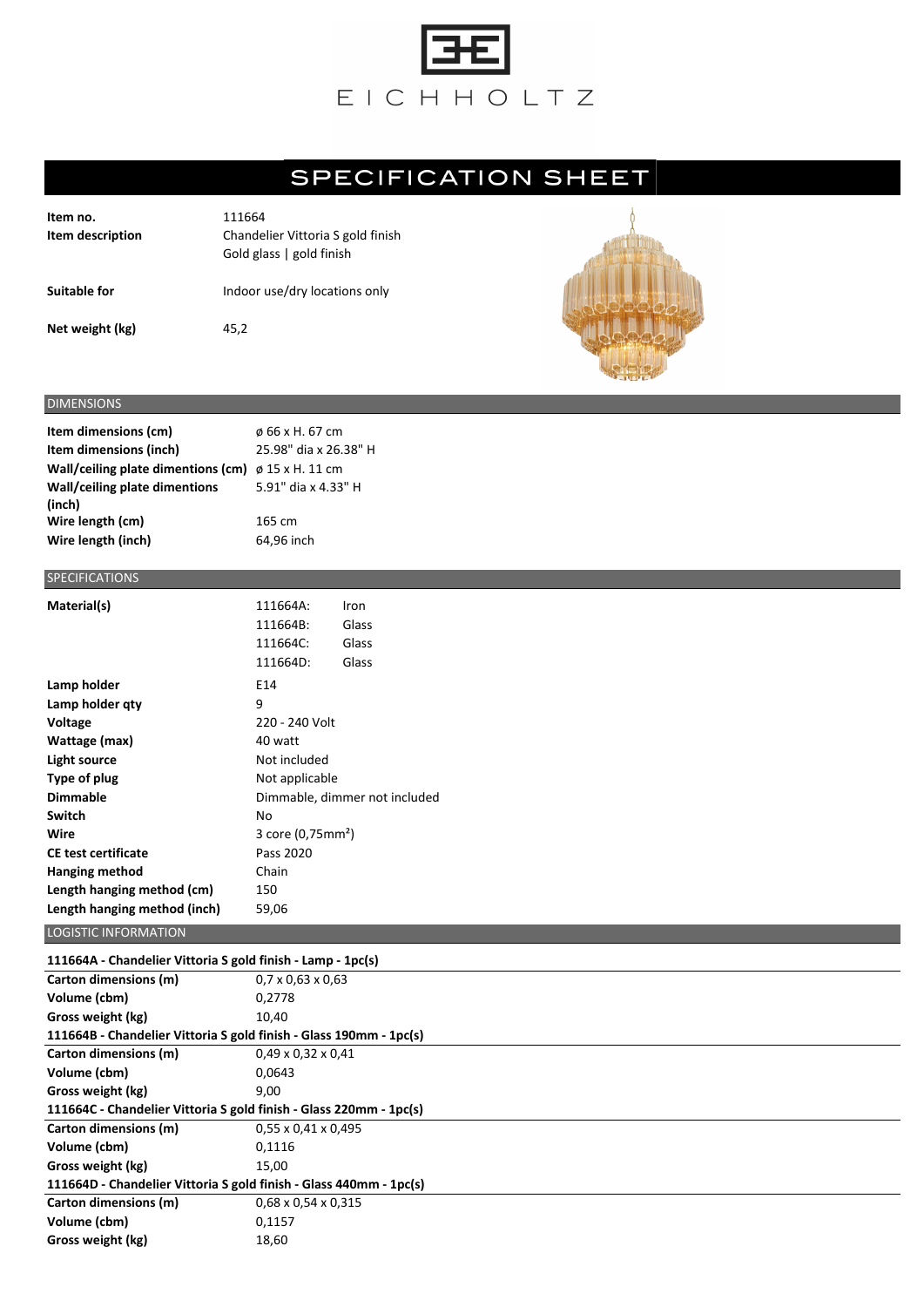

## **SPECIFICATION SHEET**

| Item no.<br>Item description | 111664<br>Chandelier Vittoria S gold finish<br>Gold glass   gold finish |
|------------------------------|-------------------------------------------------------------------------|
| Suitable for                 | Indoor use/dry locations only                                           |
| Net weight (kg)              | 45.2                                                                    |



## DIMENSIONS

| Item dimensions (cm)               | ø 66 x H. 67 cm       |
|------------------------------------|-----------------------|
| Item dimensions (inch)             | 25.98" dia x 26.38" H |
| Wall/ceiling plate dimentions (cm) | $\phi$ 15 x H. 11 cm  |
| Wall/ceiling plate dimentions      | 5.91" dia x 4.33" H   |
| (inch)                             |                       |
| Wire length (cm)                   | 165 cm                |
| Wire length (inch)                 | 64,96 inch            |

## SPECIFICATIONS

| Material(s)                  | 111664A:                      | Iron  |  |
|------------------------------|-------------------------------|-------|--|
|                              | 111664B:                      | Glass |  |
|                              | 111664C:                      | Glass |  |
|                              | 111664D:                      | Glass |  |
| Lamp holder                  | E14                           |       |  |
| Lamp holder qty              | 9                             |       |  |
| Voltage                      | 220 - 240 Volt                |       |  |
| Wattage (max)                | 40 watt                       |       |  |
| Light source                 | Not included                  |       |  |
| Type of plug                 | Not applicable                |       |  |
| <b>Dimmable</b>              | Dimmable, dimmer not included |       |  |
| Switch                       | No                            |       |  |
| Wire                         | 3 core (0,75mm <sup>2</sup> ) |       |  |
| <b>CE test certificate</b>   | Pass 2020                     |       |  |
| Hanging method               | Chain                         |       |  |
| Length hanging method (cm)   | 150                           |       |  |
| Length hanging method (inch) | 59,06                         |       |  |

## LOGISTIC INFORMATION **111664A - Chandelier Vittoria S gold finish - Lamp - 1pc(s) Carton dimensions (m)** 0,7 x 0,63 x 0,63 **Volume (cbm)** 0,2778 **Gross weight (kg)** 10,40 **111664B - Chandelier Vittoria S gold finish - Glass 190mm - 1pc(s) Carton dimensions (m)** 0,49 x 0,32 x 0,41 **Volume (cbm)** 0,0643 Gross weight (kg) 8,00 **111664C - Chandelier Vittoria S gold finish - Glass 220mm - 1pc(s) Carton dimensions (m)** 0,55 x 0,41 x 0,495 **Volume (cbm)** 0,1116 Gross weight (kg) 15,00 **111664D - Chandelier Vittoria S gold finish - Glass 440mm - 1pc(s) Carton dimensions (m)** 0,68 x 0,54 x 0,315 **Volume (cbm)** 0,1157 Gross weight (kg) 18,60